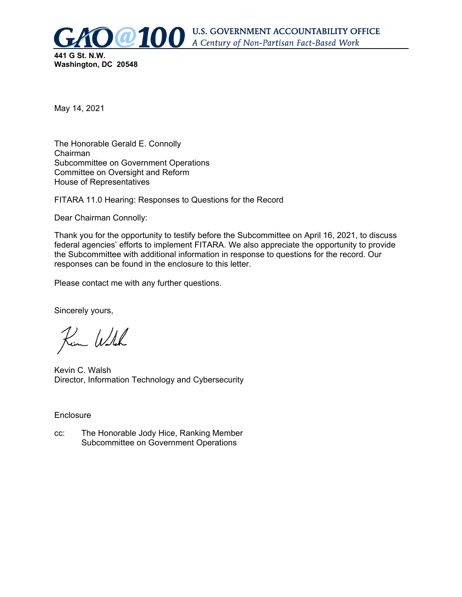

May 14, 2021

The Honorable Gerald E. Connolly Chairman Subcommittee on Government Operations Committee on Oversight and Reform House of Representatives

FITARA 11.0 Hearing: Responses to Questions for the Record

Dear Chairman Connolly:

Thank you for the opportunity to testify before the Subcommittee on April 16, 2021, to discuss federal agencies' efforts to implement FITARA. We also appreciate the opportunity to provide the Subcommittee with additional information in response to questions for the record. Our responses can be found in the enclosure to this letter.

Please contact me with any further questions.

Sincerely yours,

Rem Which

Kevin C. Walsh Director, Information Technology and Cybersecurity

**Enclosure** 

cc: The Honorable Jody Hice, Ranking Member Subcommittee on Government Operations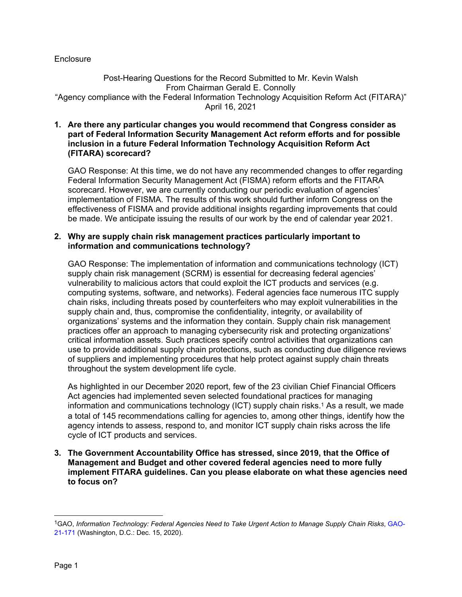## **Enclosure**

Post-Hearing Questions for the Record Submitted to Mr. Kevin Walsh From Chairman Gerald E. Connolly "Agency compliance with the Federal Information Technology Acquisition Reform Act (FITARA)" April 16, 2021

# **1. Are there any particular changes you would recommend that Congress consider as part of Federal Information Security Management Act reform efforts and for possible inclusion in a future Federal Information Technology Acquisition Reform Act (FITARA) scorecard?**

GAO Response: At this time, we do not have any recommended changes to offer regarding Federal Information Security Management Act (FISMA) reform efforts and the FITARA scorecard. However, we are currently conducting our periodic evaluation of agencies' implementation of FISMA. The results of this work should further inform Congress on the effectiveness of FISMA and provide additional insights regarding improvements that could be made. We anticipate issuing the results of our work by the end of calendar year 2021.

#### **2. Why are supply chain risk management practices particularly important to information and communications technology?**

GAO Response: The implementation of information and communications technology (ICT) supply chain risk management (SCRM) is essential for decreasing federal agencies' vulnerability to malicious actors that could exploit the ICT products and services (e.g. computing systems, software, and networks). Federal agencies face numerous ITC supply chain risks, including threats posed by counterfeiters who may exploit vulnerabilities in the supply chain and, thus, compromise the confidentiality, integrity, or availability of organizations' systems and the information they contain. Supply chain risk management practices offer an approach to managing cybersecurity risk and protecting organizations' critical information assets. Such practices specify control activities that organizations can use to provide additional supply chain protections, such as conducting due diligence reviews of suppliers and implementing procedures that help protect against supply chain threats throughout the system development life cycle.

As highlighted in our December 2020 report, few of the 23 civilian Chief Financial Officers Act agencies had implemented seven selected foundational practices for managing information and communications technology (ICT) supply chain risks.<sup>1</sup> As a result, we made a total of 145 recommendations calling for agencies to, among other things, identify how the agency intends to assess, respond to, and monitor ICT supply chain risks across the life cycle of ICT products and services.

**3. The Government Accountability Office has stressed, since 2019, that the Office of Management and Budget and other covered federal agencies need to more fully implement FITARA guidelines. Can you please elaborate on what these agencies need to focus on?** 

<sup>1</sup>GAO, *Information Technology: Federal Agencies Need to Take Urgent Action to Manage Supply Chain Risks*, GAO-21-171 (Washington, D.C.: Dec. 15, 2020).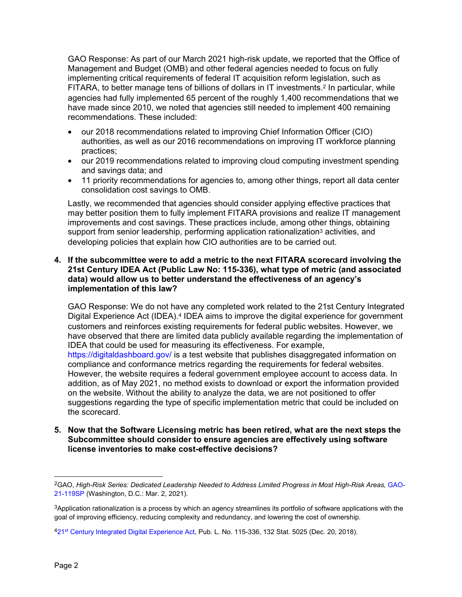GAO Response: As part of our March 2021 high-risk update, we reported that the Office of Management and Budget (OMB) and other federal agencies needed to focus on fully implementing critical requirements of federal IT acquisition reform legislation, such as FITARA, to better manage tens of billions of dollars in IT investments.2 In particular, while agencies had fully implemented 65 percent of the roughly 1,400 recommendations that we have made since 2010, we noted that agencies still needed to implement 400 remaining recommendations. These included:

- our 2018 recommendations related to improving Chief Information Officer (CIO) authorities, as well as our 2016 recommendations on improving IT workforce planning practices;
- our 2019 recommendations related to improving cloud computing investment spending and savings data; and
- 11 priority recommendations for agencies to, among other things, report all data center consolidation cost savings to OMB.

Lastly, we recommended that agencies should consider applying effective practices that may better position them to fully implement FITARA provisions and realize IT management improvements and cost savings. These practices include, among other things, obtaining support from senior leadership, performing application rationalization<sup>3</sup> activities, and developing policies that explain how CIO authorities are to be carried out.

# **4. If the subcommittee were to add a metric to the next FITARA scorecard involving the 21st Century IDEA Act (Public Law No: 115-336), what type of metric (and associated data) would allow us to better understand the effectiveness of an agency's implementation of this law?**

GAO Response: We do not have any completed work related to the 21st Century Integrated Digital Experience Act (IDEA).<sup>4</sup> IDEA aims to improve the digital experience for government customers and reinforces existing requirements for federal public websites. However, we have observed that there are limited data publicly available regarding the implementation of IDEA that could be used for measuring its effectiveness. For example, https://digitaldashboard.gov/ is a test website that publishes disaggregated information on compliance and conformance metrics regarding the requirements for federal websites. However, the website requires a federal government employee account to access data. In addition, as of May 2021, no method exists to download or export the information provided on the website. Without the ability to analyze the data, we are not positioned to offer suggestions regarding the type of specific implementation metric that could be included on the scorecard.

**5. Now that the Software Licensing metric has been retired, what are the next steps the Subcommittee should consider to ensure agencies are effectively using software license inventories to make cost-effective decisions?** 

<sup>2</sup>GAO, *High-Risk Series: Dedicated Leadership Needed to Address Limited Progress in Most High-Risk Areas,* GAO-21-119SP (Washington, D.C.: Mar. 2, 2021).

<sup>3</sup>Application rationalization is a process by which an agency streamlines its portfolio of software applications with the goal of improving efficiency, reducing complexity and redundancy, and lowering the cost of ownership.

<sup>421</sup>st Century Integrated Digital Experience Act, Pub. L. No. 115-336, 132 Stat. 5025 (Dec. 20, 2018).